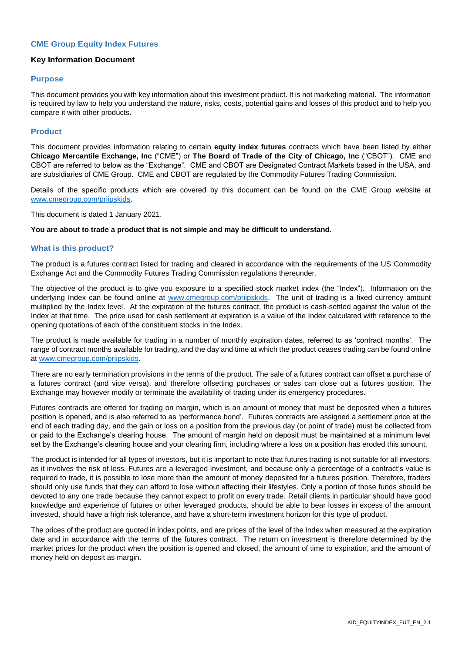# **CME Group Equity Index Futures**

# **Key Information Document**

#### **Purpose**

This document provides you with key information about this investment product. It is not marketing material. The information is required by law to help you understand the nature, risks, costs, potential gains and losses of this product and to help you compare it with other products.

#### **Product**

This document provides information relating to certain **equity index futures** contracts which have been listed by either **Chicago Mercantile Exchange, Inc** ("CME") or **The Board of Trade of the City of Chicago, Inc** ("CBOT"). CME and CBOT are referred to below as the "Exchange". CME and CBOT are Designated Contract Markets based in the USA, and are subsidiaries of CME Group. CME and CBOT are regulated by the Commodity Futures Trading Commission.

Details of the specific products which are covered by this document can be found on the CME Group website at [www.cmegroup.com/priipskids.](http://www.cmegroup.com/priipskids)

This document is dated 1 January 2021.

#### **You are about to trade a product that is not simple and may be difficult to understand.**

#### **What is this product?**

The product is a futures contract listed for trading and cleared in accordance with the requirements of the US Commodity Exchange Act and the Commodity Futures Trading Commission regulations thereunder.

The objective of the product is to give you exposure to a specified stock market index (the "Index"). Information on the underlying Index can be found online at [www.cmegroup.com/priipskids.](http://www.cmegroup.com/priipskids) The unit of trading is a fixed currency amount multiplied by the Index level. At the expiration of the futures contract, the product is cash-settled against the value of the Index at that time. The price used for cash settlement at expiration is a value of the Index calculated with reference to the opening quotations of each of the constituent stocks in the Index.

The product is made available for trading in a number of monthly expiration dates, referred to as 'contract months'. The range of contract months available for trading, and the day and time at which the product ceases trading can be found online at [www.cmegroup.com/priipskids.](http://www.cmegroup.com/priipskids)

There are no early termination provisions in the terms of the product. The sale of a futures contract can offset a purchase of a futures contract (and vice versa), and therefore offsetting purchases or sales can close out a futures position. The Exchange may however modify or terminate the availability of trading under its emergency procedures.

Futures contracts are offered for trading on margin, which is an amount of money that must be deposited when a futures position is opened, and is also referred to as 'performance bond'. Futures contracts are assigned a settlement price at the end of each trading day, and the gain or loss on a position from the previous day (or point of trade) must be collected from or paid to the Exchange's clearing house. The amount of margin held on deposit must be maintained at a minimum level set by the Exchange's clearing house and your clearing firm, including where a loss on a position has eroded this amount.

The product is intended for all types of investors, but it is important to note that futures trading is not suitable for all investors, as it involves the risk of loss. Futures are a leveraged investment, and because only a percentage of a contract's value is required to trade, it is possible to lose more than the amount of money deposited for a futures position. Therefore, traders should only use funds that they can afford to lose without affecting their lifestyles. Only a portion of those funds should be devoted to any one trade because they cannot expect to profit on every trade. Retail clients in particular should have good knowledge and experience of futures or other leveraged products, should be able to bear losses in excess of the amount invested, should have a high risk tolerance, and have a short-term investment horizon for this type of product.

The prices of the product are quoted in index points, and are prices of the level of the Index when measured at the expiration date and in accordance with the terms of the futures contract. The return on investment is therefore determined by the market prices for the product when the position is opened and closed, the amount of time to expiration, and the amount of money held on deposit as margin.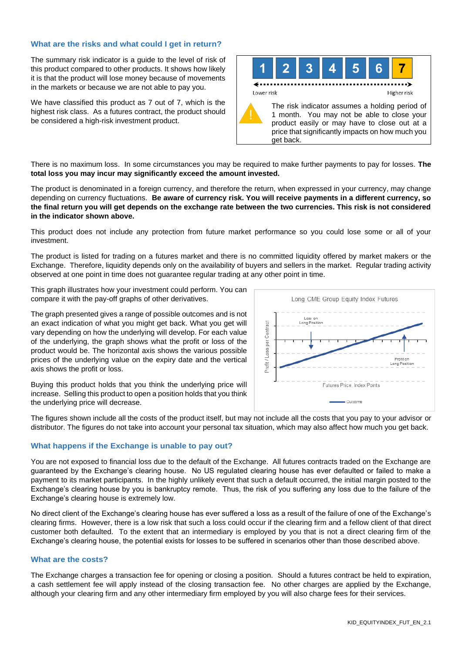# **What are the risks and what could I get in return?**

The summary risk indicator is a guide to the level of risk of this product compared to other products. It shows how likely it is that the product will lose money because of movements in the markets or because we are not able to pay you.

We have classified this product as 7 out of 7, which is the highest risk class. As a futures contract, the product should be considered a high-risk investment product.



There is no maximum loss. In some circumstances you may be required to make further payments to pay for losses. **The total loss you may incur may significantly exceed the amount invested.**

The product is denominated in a foreign currency, and therefore the return, when expressed in your currency, may change depending on currency fluctuations. **Be aware of currency risk. You will receive payments in a different currency, so the final return you will get depends on the exchange rate between the two currencies. This risk is not considered in the indicator shown above.**

This product does not include any protection from future market performance so you could lose some or all of your investment.

The product is listed for trading on a futures market and there is no committed liquidity offered by market makers or the Exchange. Therefore, liquidity depends only on the availability of buyers and sellers in the market. Regular trading activity observed at one point in time does not guarantee regular trading at any other point in time.

This graph illustrates how your investment could perform. You can compare it with the pay-off graphs of other derivatives.

The graph presented gives a range of possible outcomes and is not an exact indication of what you might get back. What you get will vary depending on how the underlying will develop. For each value of the underlying, the graph shows what the profit or loss of the product would be. The horizontal axis shows the various possible prices of the underlying value on the expiry date and the vertical axis shows the profit or loss.



Buying this product holds that you think the underlying price will increase. Selling this product to open a position holds that you think the underlying price will decrease.

The figures shown include all the costs of the product itself, but may not include all the costs that you pay to your advisor or distributor. The figures do not take into account your personal tax situation, which may also affect how much you get back.

# **What happens if the Exchange is unable to pay out?**

You are not exposed to financial loss due to the default of the Exchange. All futures contracts traded on the Exchange are guaranteed by the Exchange's clearing house. No US regulated clearing house has ever defaulted or failed to make a payment to its market participants. In the highly unlikely event that such a default occurred, the initial margin posted to the Exchange's clearing house by you is bankruptcy remote. Thus, the risk of you suffering any loss due to the failure of the Exchange's clearing house is extremely low.

No direct client of the Exchange's clearing house has ever suffered a loss as a result of the failure of one of the Exchange's clearing firms. However, there is a low risk that such a loss could occur if the clearing firm and a fellow client of that direct customer both defaulted. To the extent that an intermediary is employed by you that is not a direct clearing firm of the Exchange's clearing house, the potential exists for losses to be suffered in scenarios other than those described above.

# **What are the costs?**

The Exchange charges a transaction fee for opening or closing a position. Should a futures contract be held to expiration, a cash settlement fee will apply instead of the closing transaction fee. No other charges are applied by the Exchange, although your clearing firm and any other intermediary firm employed by you will also charge fees for their services.